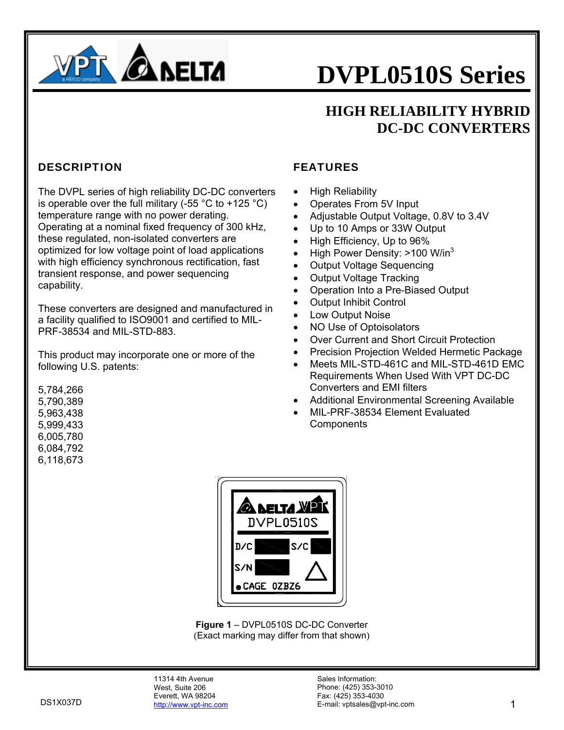

### **HIGH RELIABILITY HYBRID DC-DC CONVERTERS**

#### **DESCRIPTION**

The DVPL series of high reliability DC-DC converters is operable over the full military (-55  $^{\circ}$ C to +125  $^{\circ}$ C) temperature range with no power derating. Operating at a nominal fixed frequency of 300 kHz, these regulated, non-isolated converters are optimized for low voltage point of load applications with high efficiency synchronous rectification, fast transient response, and power sequencing capability.

These converters are designed and manufactured in a facility qualified to ISO9001 and certified to MIL-PRF-38534 and MIL-STD-883.

This product may incorporate one or more of the following U.S. patents:

5,784,266 5,790,389 5,963,438 5,999,433 6,005,780 6,084,792

6,118,673

#### FEATURES

- High Reliability
- Operates From 5V Input
- Adjustable Output Voltage, 0.8V to 3.4V
- Up to 10 Amps or 33W Output
- High Efficiency, Up to 96%
- High Power Density: >100 W/in<sup>3</sup>
- Output Voltage Sequencing
- Output Voltage Tracking
- Operation Into a Pre-Biased Output
- **Output Inhibit Control**
- Low Output Noise
- NO Use of Optoisolators
- Over Current and Short Circuit Protection
- Precision Projection Welded Hermetic Package
- Meets MIL-STD-461C and MIL-STD-461D EMC Requirements When Used With VPT DC-DC Converters and EMI filters
- Additional Environmental Screening Available
- MIL-PRF-38534 Element Evaluated **Components**



**Figure 1** – DVPL0510S DC-DC Converter (Exact marking may differ from that shown)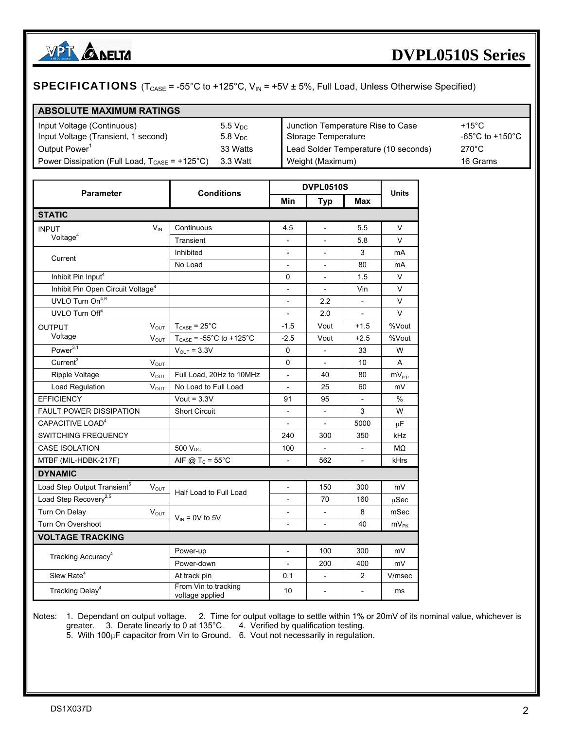

#### **SPECIFICATIONS** ( $T_{CASE}$  = -55°C to +125°C,  $V_{IN}$  = +5V  $\pm$  5%, Full Load, Unless Otherwise Specified)

#### **ABSOLUTE MAXIMUM RATINGS**

| Input Voltage (Continuous)                                                | $5.5 V_{DC}$ | Junction Temperature Rise to Case    | $+15^{\circ}$ C                       |
|---------------------------------------------------------------------------|--------------|--------------------------------------|---------------------------------------|
| Input Voltage (Transient, 1 second)                                       | $5.8 V_{DC}$ | Storage Temperature                  | -65 $^{\circ}$ C to +150 $^{\circ}$ C |
| Output Power'                                                             | 33 Watts     | Lead Solder Temperature (10 seconds) | $270^{\circ}$ C                       |
| Power Dissipation (Full Load, $T_{\text{CASE}} = +125^{\circ} \text{C}$ ) | 3.3 Watt     | Weight (Maximum)                     | 16 Grams                              |

| <b>Parameter</b>                              |             | <b>Conditions</b>                       |                          | <b>DVPL0510S</b>         |                | <b>Units</b> |
|-----------------------------------------------|-------------|-----------------------------------------|--------------------------|--------------------------|----------------|--------------|
|                                               |             |                                         | Min                      | <b>Typ</b>               | Max            |              |
| <b>STATIC</b>                                 |             |                                         |                          |                          |                |              |
| <b>INPUT</b>                                  | $V_{IN}$    | Continuous                              | 4.5                      | $\overline{\phantom{a}}$ | 5.5            | V            |
| Voltage <sup>4</sup>                          |             | Transient                               |                          |                          | 5.8            | V            |
| Current                                       |             | Inhibited                               | $\centerdot$             |                          | 3              | mA           |
|                                               |             | No Load                                 |                          |                          | 80             | mA           |
| Inhibit Pin Input <sup>4</sup>                |             |                                         | 0                        |                          | 1.5            | V            |
| Inhibit Pin Open Circuit Voltage <sup>4</sup> |             |                                         | $\overline{\phantom{a}}$ | $\overline{\phantom{a}}$ | Vin            | V            |
| UVLO Turn On <sup>4,6</sup>                   |             |                                         |                          | 2.2                      | $\blacksquare$ | V            |
| UVLO Turn Off <sup>4</sup>                    |             |                                         |                          | 2.0                      | $\Box$         | V            |
| <b>OUTPUT</b>                                 | <b>VOUT</b> | $T_{\text{CASE}} = 25^{\circ}C$         | $-1.5$                   | Vout                     | $+1.5$         | %Vout        |
| Voltage                                       | $V_{OUT}$   | $T_{\text{CASE}}$ = -55°C to +125°C     | $-2.5$                   | Vout                     | $+2.5$         | %Vout        |
| Power $\overline{3,1}$                        |             | $V_{\text{OUT}} = 3.3V$                 | 0                        |                          | 33             | W            |
| Current <sup>3</sup>                          | $V_{OUT}$   |                                         | 0                        | $\overline{\phantom{a}}$ | 10             | A            |
| <b>Ripple Voltage</b>                         | $V_{OUT}$   | Full Load, 20Hz to 10MHz                | $\frac{1}{2}$            | 40                       | 80             | $mV_{p-p}$   |
| Load Regulation                               | $V_{OUT}$   | No Load to Full Load                    |                          | 25                       | 60             | mV           |
| <b>EFFICIENCY</b>                             |             | Vout = $3.3V$                           | 91                       | 95                       |                | $\%$         |
| <b>FAULT POWER DISSIPATION</b>                |             | <b>Short Circuit</b>                    | $\qquad \qquad -$        |                          | 3              | W            |
| CAPACITIVE LOAD <sup>4</sup>                  |             |                                         | $\overline{\phantom{a}}$ | $\overline{\phantom{a}}$ | 5000           | μF           |
| <b>SWITCHING FREQUENCY</b>                    |             |                                         | 240                      | 300                      | 350            | kHz          |
| <b>CASE ISOLATION</b>                         |             | 500 V <sub>DC</sub>                     | 100                      |                          |                | MΩ           |
| MTBF (MIL-HDBK-217F)                          |             | AIF @ $T_c = 55^{\circ}$ C              |                          | 562                      | $\overline{a}$ | kHrs         |
| <b>DYNAMIC</b>                                |             |                                         |                          |                          |                |              |
| Load Step Output Transient <sup>5</sup>       | $V_{OUT}$   | Half Load to Full Load                  | $\overline{\phantom{m}}$ | 150                      | 300            | mV           |
| Load Step Recovery <sup>2,5</sup>             |             |                                         |                          | 70                       | 160            | μSec         |
| Turn On Delay                                 | $V_{OUT}$   |                                         |                          |                          | 8              | mSec         |
| Turn On Overshoot                             |             | $V_{IN}$ = 0V to 5V                     | $\overline{\phantom{0}}$ | $\overline{\phantom{a}}$ | 40             | $mV_{PK}$    |
| <b>VOLTAGE TRACKING</b>                       |             |                                         |                          |                          |                |              |
| Tracking Accuracy <sup>4</sup>                |             | Power-up                                | $\overline{\phantom{m}}$ | 100                      | 300            | mV           |
|                                               |             | Power-down                              | $\overline{\phantom{a}}$ | 200                      | 400            | mV           |
| Slew Rate <sup>4</sup>                        |             | At track pin                            | 0.1                      | $\overline{\phantom{0}}$ | $\overline{2}$ | V/msec       |
| Tracking Delay <sup>4</sup>                   |             | From Vin to tracking<br>voltage applied | 10                       |                          |                | ms           |

Notes: 1. Dependant on output voltage. 2. Time for output voltage to settle within 1% or 20mV of its nominal value, whichever is greater. 3. Derate linearly to 0 at 135°C. 4. Verified by qualification testing.

5. With 100μF capacitor from Vin to Ground. 6. Vout not necessarily in regulation.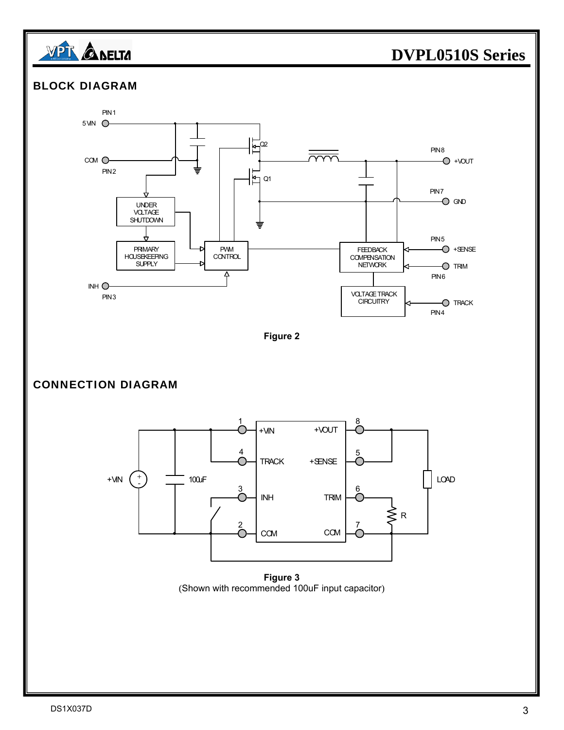





(Shown with recommended 100uF input capacitor)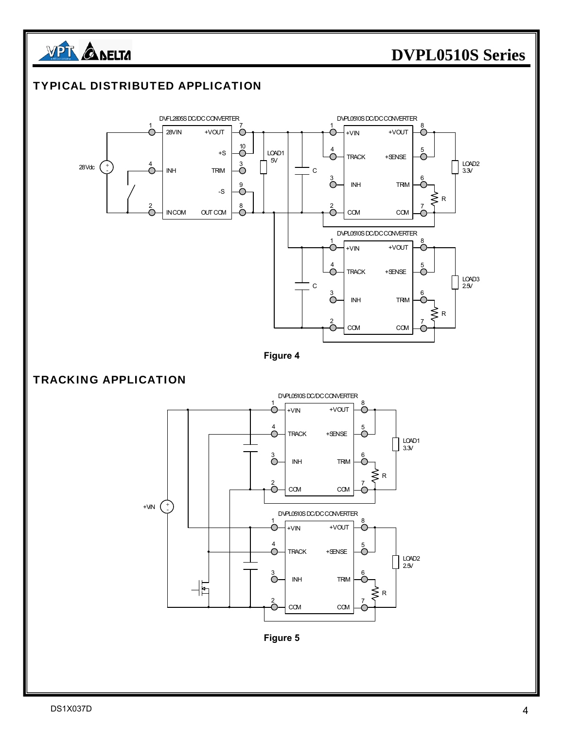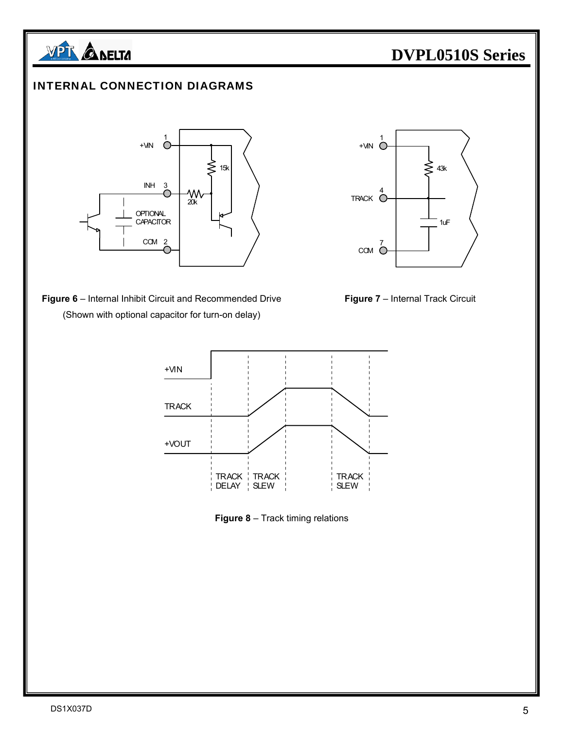

#### INTERNAL CONNECTION DIAGRAMS



**Figure 6** – Internal Inhibit Circuit and Recommended Drive **Figure 7** – Internal Track Circuit (Shown with optional capacitor for turn-on delay)







**Figure 8** – Track timing relations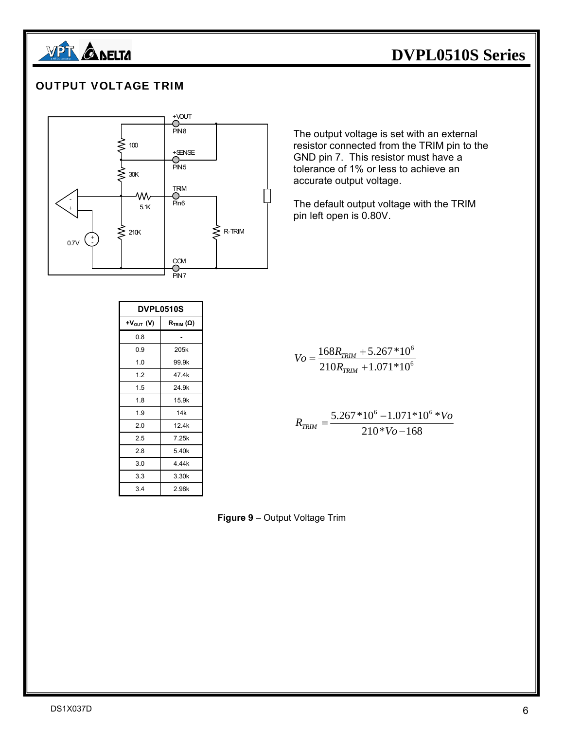

#### OUTPUT VOLTAGE TRIM



| <b>DVPL0510S</b>     |                                      |  |  |
|----------------------|--------------------------------------|--|--|
| $+V_{\text{OUT}}(V)$ | $\mathsf{R}_{\mathsf{TRIM}}(\Omega)$ |  |  |
| 0.8                  |                                      |  |  |
| 0.9                  | 205k                                 |  |  |
| 1.0                  | 99.9k                                |  |  |
| 1.2                  | 47.4k                                |  |  |
| 1.5                  | 24.9k                                |  |  |
| 1.8                  | 15.9k                                |  |  |
| 1.9                  | 14k                                  |  |  |
| 2.0                  | 12.4k                                |  |  |
| 2.5                  | 7.25k                                |  |  |
| 2.8                  | 5.40k                                |  |  |
| 3.0                  | 4.44k                                |  |  |
| 3.3                  | 3.30k                                |  |  |
| 3.4                  | 2.98k                                |  |  |

The output voltage is set with an external resistor connected from the TRIM pin to the GND pin 7. This resistor must have a tolerance of 1% or less to achieve an accurate output voltage.

The default output voltage with the TRIM pin left open is 0.80V.

$$
V_O = \frac{168R_{TRIM} + 5.267 * 10^6}{210R_{TRIM} + 1.071 * 10^6}
$$

$$
R_{TRIM} = \frac{5.267 * 10^6 - 1.071 * 10^6 * V_o}{210 * V_o - 168}
$$

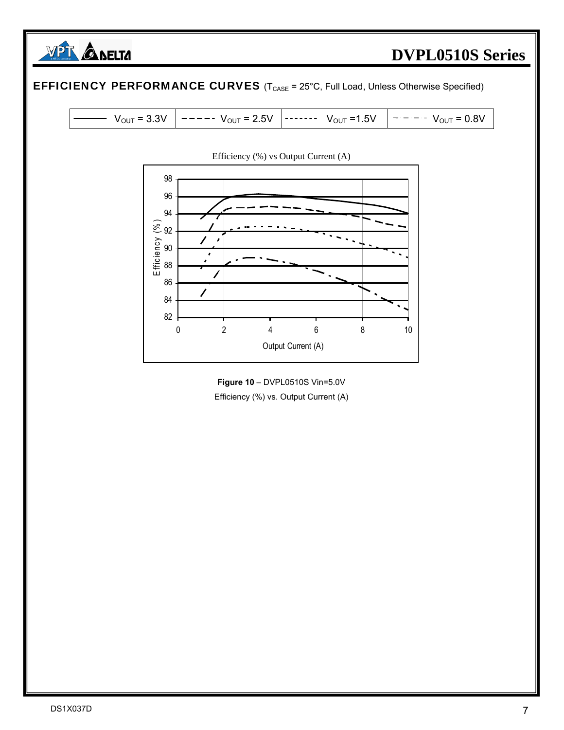



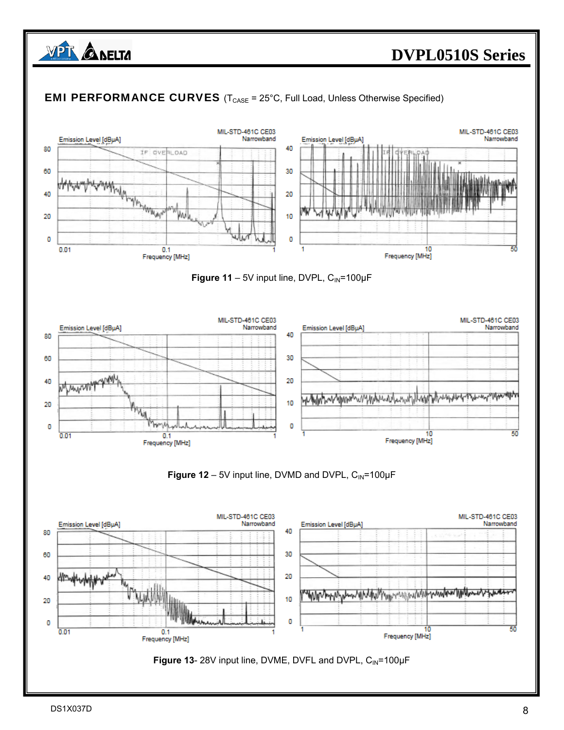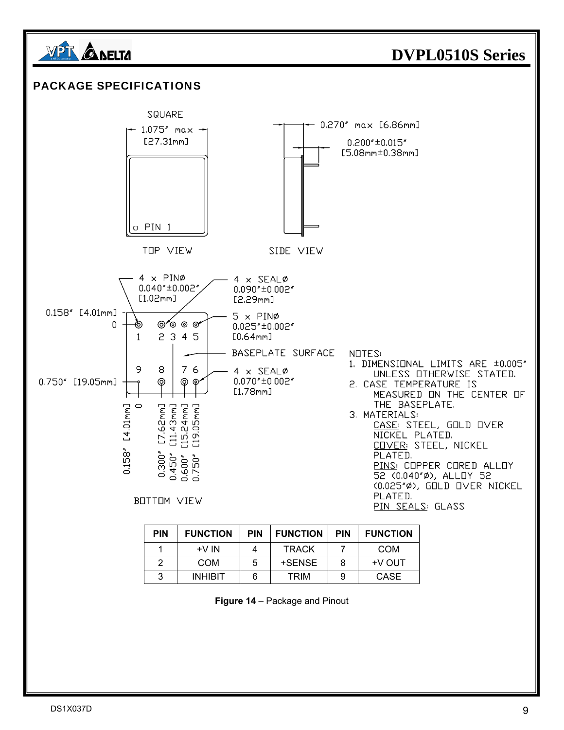

|  | Figure 14 - Package and Pinout |  |
|--|--------------------------------|--|
|  |                                |  |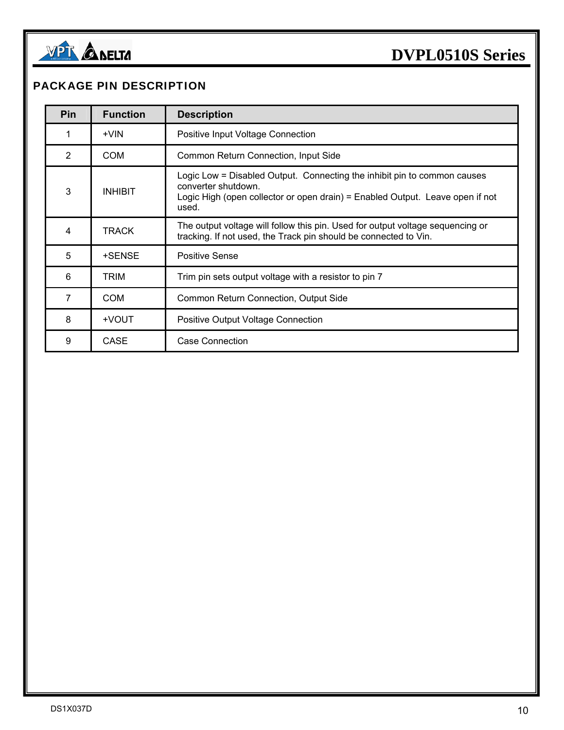

#### PACKAGE PIN DESCRIPTION

| <b>Pin</b> | <b>Function</b> | <b>Description</b>                                                                                                                                                                        |
|------------|-----------------|-------------------------------------------------------------------------------------------------------------------------------------------------------------------------------------------|
|            | $+V$ IN         | Positive Input Voltage Connection                                                                                                                                                         |
| 2          | <b>COM</b>      | Common Return Connection, Input Side                                                                                                                                                      |
| 3          | <b>INHIBIT</b>  | Logic Low = Disabled Output. Connecting the inhibit pin to common causes<br>converter shutdown.<br>Logic High (open collector or open drain) = Enabled Output. Leave open if not<br>used. |
| 4          | TRACK           | The output voltage will follow this pin. Used for output voltage sequencing or<br>tracking. If not used, the Track pin should be connected to Vin.                                        |
| 5          | +SENSE          | Positive Sense                                                                                                                                                                            |
| 6          | TRIM            | Trim pin sets output voltage with a resistor to pin 7                                                                                                                                     |
| 7          | <b>COM</b>      | Common Return Connection, Output Side                                                                                                                                                     |
| 8          | +VOUT           | Positive Output Voltage Connection                                                                                                                                                        |
| 9          | <b>CASE</b>     | <b>Case Connection</b>                                                                                                                                                                    |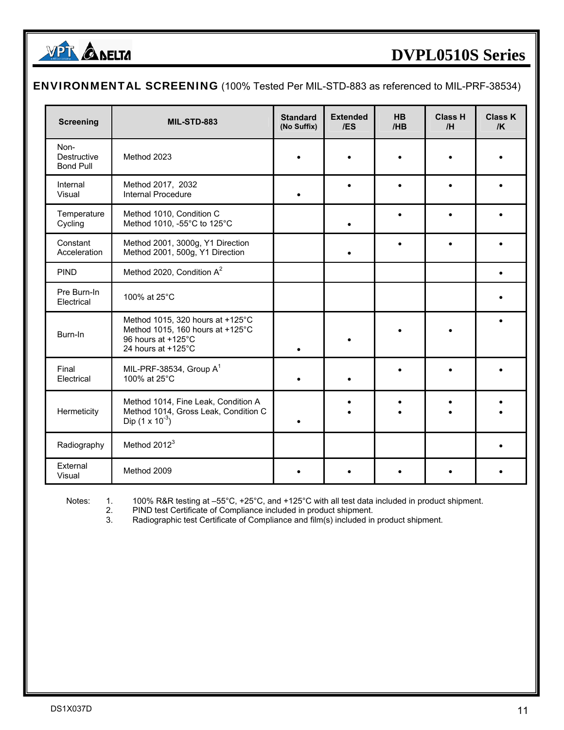

#### ENVIRONMENTAL SCREENING (100% Tested Per MIL-STD-883 as referenced to MIL-PRF-38534)

| <b>Screening</b>                        | <b>MIL-STD-883</b>                                                                                               | <b>Standard</b><br>(No Suffix) | <b>Extended</b><br>/ES | HB<br>/HB | <b>Class H</b><br>/H | <b>Class K</b><br>/K |
|-----------------------------------------|------------------------------------------------------------------------------------------------------------------|--------------------------------|------------------------|-----------|----------------------|----------------------|
| Non-<br>Destructive<br><b>Bond Pull</b> | Method 2023                                                                                                      |                                |                        |           |                      |                      |
| Internal<br>Visual                      | Method 2017, 2032<br>Internal Procedure                                                                          |                                |                        | $\bullet$ |                      |                      |
| Temperature<br>Cycling                  | Method 1010, Condition C<br>Method 1010, -55°C to 125°C                                                          |                                |                        |           |                      |                      |
| Constant<br>Acceleration                | Method 2001, 3000g, Y1 Direction<br>Method 2001, 500g, Y1 Direction                                              |                                |                        |           |                      |                      |
| <b>PIND</b>                             | Method 2020, Condition A <sup>2</sup>                                                                            |                                |                        |           |                      |                      |
| Pre Burn-In<br>Electrical               | 100% at 25°C                                                                                                     |                                |                        |           |                      |                      |
| Burn-In                                 | Method 1015, 320 hours at +125°C<br>Method 1015, 160 hours at +125°C<br>96 hours at +125°C<br>24 hours at +125°C | $\bullet$                      |                        |           |                      |                      |
| Final<br>Electrical                     | MIL-PRF-38534, Group $A^1$<br>100% at 25°C                                                                       |                                |                        |           |                      |                      |
| Hermeticity                             | Method 1014, Fine Leak, Condition A<br>Method 1014, Gross Leak, Condition C<br>Dip $(1 \times 10^{-3})$          |                                |                        |           |                      |                      |
| Radiography                             | Method 2012 <sup>3</sup>                                                                                         |                                |                        |           |                      |                      |
| External<br>Visual                      | Method 2009                                                                                                      |                                |                        |           |                      |                      |

Notes: 1. 100% R&R testing at –55°C, +25°C, and +125°C with all test data included in product shipment.

 2. PIND test Certificate of Compliance included in product shipment. 3. PIND test Certificate of Compliance included in product shipment.<br>3. Radiographic test Certificate of Compliance and film(s) included in product shipment.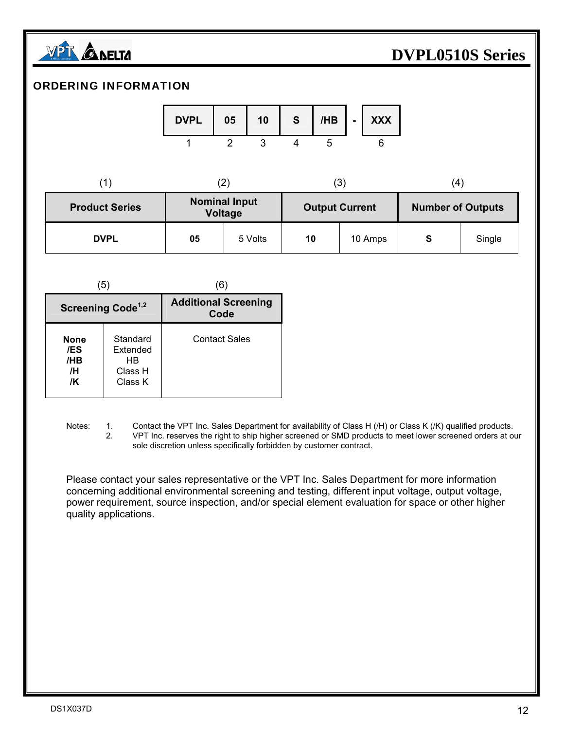

#### ORDERING INFORMATION

| <b>DVPL</b> | 05 | 10 | S. |  | $/HB$ $\vert$ - $\vert$ XXX |  |
|-------------|----|----|----|--|-----------------------------|--|
|             |    |    |    |  |                             |  |

|                       |                                 | (3                    | 4                        |
|-----------------------|---------------------------------|-----------------------|--------------------------|
| <b>Product Series</b> | <b>Nominal Input</b><br>Voltage | <b>Output Current</b> | <b>Number of Outputs</b> |
|                       |                                 |                       |                          |

| <b>DVPL</b><br>05 | <sup>५</sup> Volts |  | 10 | 10 Amps |  | œ<br>╺ | Single |
|-------------------|--------------------|--|----|---------|--|--------|--------|
|-------------------|--------------------|--|----|---------|--|--------|--------|

| (5)                                   |                                                   | 6                                   |
|---------------------------------------|---------------------------------------------------|-------------------------------------|
| Screening Code <sup>1,2</sup>         |                                                   | <b>Additional Screening</b><br>Code |
| <b>None</b><br>/ES<br>/HB<br>/H<br>/K | Standard<br>Extended<br>HB.<br>Class H<br>Class K | <b>Contact Sales</b>                |

Notes: 1. Contact the VPT Inc. Sales Department for availability of Class H (/H) or Class K (/K) qualified products.<br>2. VPT Inc. reserves the right to ship higher screened or SMD products to meet lower screened orders at o VPT Inc. reserves the right to ship higher screened or SMD products to meet lower screened orders at our sole discretion unless specifically forbidden by customer contract.

 Please contact your sales representative or the VPT Inc. Sales Department for more information concerning additional environmental screening and testing, different input voltage, output voltage, power requirement, source inspection, and/or special element evaluation for space or other higher quality applications.